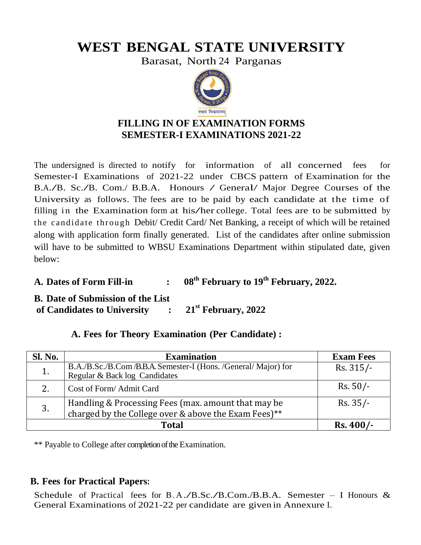# **WEST BENGAL STATE UNIVERSITY**

Barasat, North 24 Parganas



## **FILLING IN OF EXAMINATION FORMS SEMESTER-I EXAMINATIONS 2021-22**

The undersigned is directed to notify for information of all concerned fees for Semester-I Examinations of 2021-22 under CBCS pattern of Examination for the B.A./B. Sc./B. Com./ B.B.A. Honours / General/ Major Degree Courses of the University as follows. The fees are to be paid by each candidate at the time of filling in the Examination form at his/her college. Total fees are to be submitted by the candidate through Debit/ Credit Card/ Net Banking, a receipt of which will be retained along with application form finally generated. List of the candidates after online submission will have to be submitted to WBSU Examinations Department within stipulated date, given below:

**A. Dates of Form Fill-in : 08th February to 19th February, 2022.**

**B. Date of Submission of the List of Candidates to University : 21st February, 2022**

| <b>Sl. No.</b> | <b>Examination</b>                                                                                       | <b>Exam Fees</b> |
|----------------|----------------------------------------------------------------------------------------------------------|------------------|
|                | B.A./B.Sc./B.Com/B.B.A. Semester-I (Hons. /General/ Major) for<br>Regular & Back log Candidates          | $Rs. 315/-$      |
| 2.             | Cost of Form/Admit Card                                                                                  | $Rs. 50/-$       |
| 3.             | Handling & Processing Fees (max. amount that may be charged by the College over & above the Exam Fees)** | $Rs. 35/-$       |
|                | $Rs.400/-$                                                                                               |                  |

## **A. Fees for Theory Examination (Per Candidate) :**

\*\* Payable to College after completion of the Examination.

### **B. Fees for Practical Papers:**

Schedule of Practical fees for B.A./B.Sc./B.Com./B.B.A. Semester – I Honours  $\&$ General Examinations of 2021-22 per candidate are given in Annexure I.